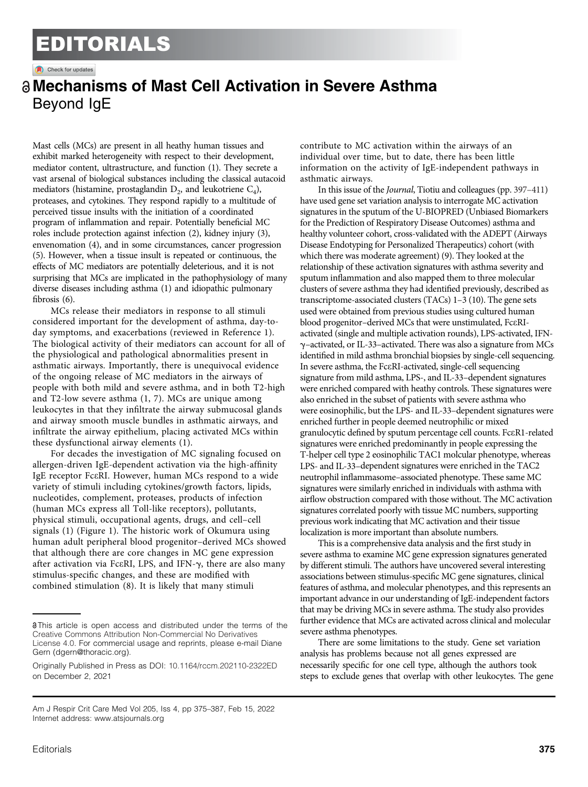## EDITORIALS

Check for updates

## a Mechanisms of Mast Cell Activation in Severe Asthma Beyond IgE

Mast cells (MCs) are present in all heathy human tissues and exhibit marked heterogeneity with respect to their development, mediator content, ultrastructure, and function [\(1\)](#page-2-0). They secrete a vast arsenal of biological substances including the classical autacoid mediators (histamine, prostaglandin  $D_2$ , and leukotriene  $C_4$ ), proteases, and cytokines. They respond rapidly to a multitude of perceived tissue insults with the initiation of a coordinated program of inflammation and repair. Potentially beneficial MC roles include protection against infection ([2](#page-2-0)), kidney injury [\(3\)](#page-2-0), envenomation [\(4\)](#page-2-0), and in some circumstances, cancer progression ([5\)](#page-2-0). However, when a tissue insult is repeated or continuous, the effects of MC mediators are potentially deleterious, and it is not surprising that MCs are implicated in the pathophysiology of many diverse diseases including asthma [\(1\)](#page-2-0) and idiopathic pulmonary fibrosis [\(6](#page-2-0)).

MCs release their mediators in response to all stimuli considered important for the development of asthma, day-today symptoms, and exacerbations (reviewed in Reference [1](#page-2-0)). The biological activity of their mediators can account for all of the physiological and pathological abnormalities present in asthmatic airways. Importantly, there is unequivocal evidence of the ongoing release of MC mediators in the airways of people with both mild and severe asthma, and in both T2-high and T2-low severe asthma ([1, 7\)](#page-2-0). MCs are unique among leukocytes in that they infiltrate the airway submucosal glands and airway smooth muscle bundles in asthmatic airways, and infiltrate the airway epithelium, placing activated MCs within these dysfunctional airway elements ([1](#page-2-0)).

For decades the investigation of MC signaling focused on allergen-driven IgE-dependent activation via the high-affinity IgE receptor FceRI. However, human MCs respond to a wide variety of stimuli including cytokines/growth factors, lipids, nucleotides, complement, proteases, products of infection (human MCs express all Toll-like receptors), pollutants, physical stimuli, occupational agents, drugs, and cell–cell signals [\(1\)](#page-2-0) ([Figure 1\)](#page-1-0). The historic work of Okumura using human adult peripheral blood progenitor–derived MCs showed that although there are core changes in MC gene expression after activation via Fc $\epsilon$ RI, LPS, and IFN- $\gamma$ , there are also many stimulus-specific changes, and these are modified with combined stimulation ([8](#page-2-0)). It is likely that many stimuli

contribute to MC activation within the airways of an individual over time, but to date, there has been little information on the activity of IgE-independent pathways in asthmatic airways.

In this issue of the Journal, Tiotiu and colleagues (pp. [397](https://doi.org/10.1164/rccm.202102-0355OC)–411) have used gene set variation analysis to interrogate MC activation signatures in the sputum of the U-BIOPRED (Unbiased Biomarkers for the Prediction of Respiratory Disease Outcomes) asthma and healthy volunteer cohort, cross-validated with the ADEPT (Airways Disease Endotyping for Personalized Therapeutics) cohort (with which there was moderate agreement) [\(9\)](#page-2-0). They looked at the relationship of these activation signatures with asthma severity and sputum inflammation and also mapped them to three molecular clusters of severe asthma they had identified previously, described as transcriptome-associated clusters (TACs) 1–3 [\(10](#page-2-0)). The gene sets used were obtained from previous studies using cultured human blood progenitor–derived MCs that were unstimulated, FceRIactivated (single and multiple activation rounds), LPS-activated, IFNg–activated, or IL-33–activated. There was also a signature from MCs identified in mild asthma bronchial biopsies by single-cell sequencing. In severe asthma, the FceRI-activated, single-cell sequencing signature from mild asthma, LPS-, and IL-33–dependent signatures were enriched compared with heathy controls. These signatures were also enriched in the subset of patients with severe asthma who were eosinophilic, but the LPS- and IL-33–dependent signatures were enriched further in people deemed neutrophilic or mixed granulocytic defined by sputum percentage cell counts. FceR1-related signatures were enriched predominantly in people expressing the T-helper cell type 2 eosinophilic TAC1 molcular phenotype, whereas LPS- and IL-33–dependent signatures were enriched in the TAC2 neutrophil inflammasome–associated phenotype. These same MC signatures were similarly enriched in individuals with asthma with airflow obstruction compared with those without. The MC activation signatures correlated poorly with tissue MC numbers, supporting previous work indicating that MC activation and their tissue localization is more important than absolute numbers.

This is a comprehensive data analysis and the first study in severe asthma to examine MC gene expression signatures generated by different stimuli. The authors have uncovered several interesting associations between stimulus-specific MC gene signatures, clinical features of asthma, and molecular phenotypes, and this represents an important advance in our understanding of IgE-independent factors that may be driving MCs in severe asthma. The study also provides further evidence that MCs are activated across clinical and molecular severe asthma phenotypes.

There are some limitations to the study. Gene set variation analysis has problems because not all genes expressed are necessarily specific for one cell type, although the authors took steps to exclude genes that overlap with other leukocytes. The gene

This article is open access and distributed under the terms of the [Creative Commons Attribution Non-Commercial No Derivatives](https://creativecommons.org/licenses/by-nc-nd/4.0/) [License 4.0.](https://creativecommons.org/licenses/by-nc-nd/4.0/) For commercial usage and reprints, please e-mail Diane Gern [\(dgern@thoracic.org\)](mailto:dgern@thoracic.org).

Originally Published in Press as DOI: [10.1164/rccm.202110-2322ED](https://doi.org/10.1164/rccm.202110-2322ED) on December 2, 2021

Am J Respir Crit Care Med Vol 205, Iss 4, pp 375–387, Feb 15, 2022 Internet address: www:[atsjournals](http://www.atsjournals.org):org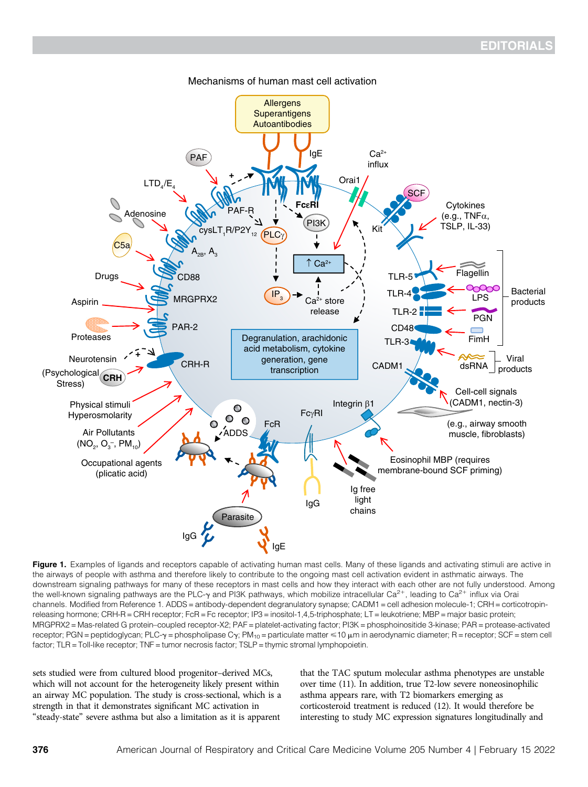<span id="page-1-0"></span>

Mechanisms of human mast cell activation

Figure 1. Examples of ligands and receptors capable of activating human mast cells. Many of these ligands and activating stimuli are active in the airways of people with asthma and therefore likely to contribute to the ongoing mast cell activation evident in asthmatic airways. The downstream signaling pathways for many of these receptors in mast cells and how they interact with each other are not fully understood. Among the well-known signaling pathways are the PLC- $\gamma$  and PI3K pathways, which mobilize intracellular Ca<sup>2+</sup>, leading to Ca<sup>2+</sup> influx via Orai channels. Modified from Reference 1. ADDS = antibody-dependent degranulatory synapse; CADM1 = cell adhesion molecule-1; CRH = corticotropinreleasing hormone; CRH-R = CRH receptor; FcR = Fc receptor; IP3 = inositol-1,4,5-triphosphate; LT = leukotriene; MBP = major basic protein; MRGPRX2 = Mas-related G protein–coupled receptor-X2; PAF = platelet-activating factor; PI3K = phosphoinositide 3-kinase; PAR = protease-activated receptor; PGN = peptidoglycan; PLC- $\gamma$  = phospholipase C $\gamma$ ; PM<sub>10</sub> = particulate matter  $\leq 10 \mu$ m in aerodynamic diameter; R = receptor; SCF = stem cell factor; TLR = Toll-like receptor; TNF = tumor necrosis factor; TSLP = thymic stromal lymphopoietin.

sets studied were from cultured blood progenitor–derived MCs, which will not account for the heterogeneity likely present within an airway MC population. The study is cross-sectional, which is a strength in that it demonstrates significant MC activation in "steady-state" severe asthma but also a limitation as it is apparent

that the TAC sputum molecular asthma phenotypes are unstable over time [\(11](#page-2-0)). In addition, true T2-low severe noneosinophilic asthma appears rare, with T2 biomarkers emerging as corticosteroid treatment is reduced [\(12\)](#page-2-0). It would therefore be interesting to study MC expression signatures longitudinally and